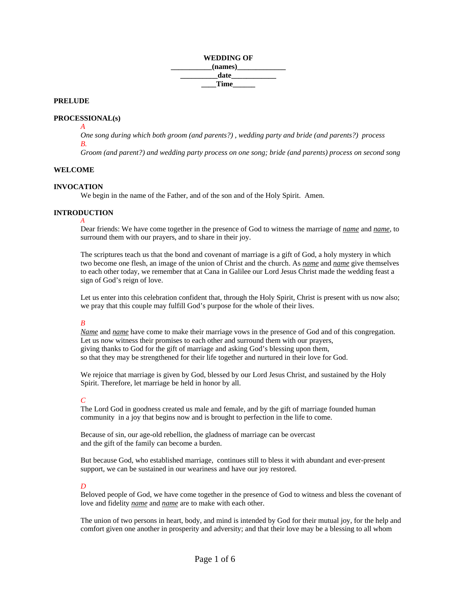| <b>WEDDING OF</b> |
|-------------------|
| (names)           |
| date              |
| Time              |

#### **PRELUDE**

#### **PROCESSIONAL(s)**  *A*

*One song during which both groom (and parents?) , wedding party and bride (and parents?) process B.* 

*Groom (and parent?) and wedding party process on one song; bride (and parents) process on second song* 

### **WELCOME**

### **INVOCATION**

We begin in the name of the Father, and of the son and of the Holy Spirit. Amen.

#### **INTRODUCTION**

#### *A*

Dear friends: We have come together in the presence of God to witness the marriage of *name* and *name*, to surround them with our prayers, and to share in their joy.

The scriptures teach us that the bond and covenant of marriage is a gift of God, a holy mystery in which two become one flesh, an image of the union of Christ and the church. As *name* and *name* give themselves to each other today, we remember that at Cana in Galilee our Lord Jesus Christ made the wedding feast a sign of God's reign of love.

Let us enter into this celebration confident that, through the Holy Spirit, Christ is present with us now also; we pray that this couple may fulfill God's purpose for the whole of their lives.

#### *B*

*Name* and *name* have come to make their marriage vows in the presence of God and of this congregation. Let us now witness their promises to each other and surround them with our prayers, giving thanks to God for the gift of marriage and asking God's blessing upon them, so that they may be strengthened for their life together and nurtured in their love for God.

We rejoice that marriage is given by God, blessed by our Lord Jesus Christ, and sustained by the Holy Spirit. Therefore, let marriage be held in honor by all.

### *C*

The Lord God in goodness created us male and female, and by the gift of marriage founded human community in a joy that begins now and is brought to perfection in the life to come.

Because of sin, our age-old rebellion, the gladness of marriage can be overcast and the gift of the family can become a burden.

But because God, who established marriage, continues still to bless it with abundant and ever-present support, we can be sustained in our weariness and have our joy restored.

### *D*

Beloved people of God, we have come together in the presence of God to witness and bless the covenant of love and fidelity *name* and *name* are to make with each other.

The union of two persons in heart, body, and mind is intended by God for their mutual joy, for the help and comfort given one another in prosperity and adversity; and that their love may be a blessing to all whom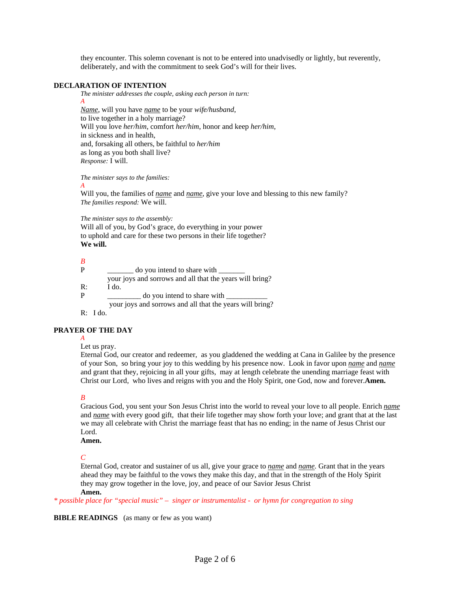they encounter. This solemn covenant is not to be entered into unadvisedly or lightly, but reverently, deliberately, and with the commitment to seek God's will for their lives.

#### **DECLARATION OF INTENTION**

*The minister addresses the couple, asking each person in turn:* 

*A Name*, will you have *name* to be your *wife/husband*, to live together in a holy marriage? Will you love *her/him*, comfort *her/him*, honor and keep *her/him*, in sickness and in health, and, forsaking all others, be faithful to *her/him* as long as you both shall live? *Response:* I will.

*The minister says to the families:* 

*A* 

Will you, the families of *name* and *name*, give your love and blessing to this new family? *The families respond:* We will.

*The minister says to the assembly:* 

Will all of you, by God's grace, do everything in your power to uphold and care for these two persons in their life together? **We will.** 

### *B*

| P              | do you intend to share with                              |
|----------------|----------------------------------------------------------|
|                | your joys and sorrows and all that the years will bring? |
| $\mathbf{R}$ : | I do.                                                    |
| P              | do you intend to share with                              |
|                | your joys and sorrows and all that the years will bring? |

R: I do.

# **PRAYER OF THE DAY**

*A*  Let us pray.

Eternal God, our creator and redeemer, as you gladdened the wedding at Cana in Galilee by the presence of your Son, so bring your joy to this wedding by his presence now. Look in favor upon *name* and *name* and grant that they, rejoicing in all your gifts, may at length celebrate the unending marriage feast with Christ our Lord, who lives and reigns with you and the Holy Spirit, one God, now and forever.**Amen.** 

### *B*

Gracious God, you sent your Son Jesus Christ into the world to reveal your love to all people. Enrich *name* and *name* with every good gift, that their life together may show forth your love; and grant that at the last we may all celebrate with Christ the marriage feast that has no ending; in the name of Jesus Christ our Lord.

### **Amen.**

*C* 

Eternal God, creator and sustainer of us all, give your grace to *name* and *name.* Grant that in the years ahead they may be faithful to the vows they make this day, and that in the strength of the Holy Spirit they may grow together in the love, joy, and peace of our Savior Jesus Christ

# **Amen.**

*\* possible place for "special music" – singer or instrumentalist - or hymn for congregation to sing* 

**BIBLE READINGS** (as many or few as you want)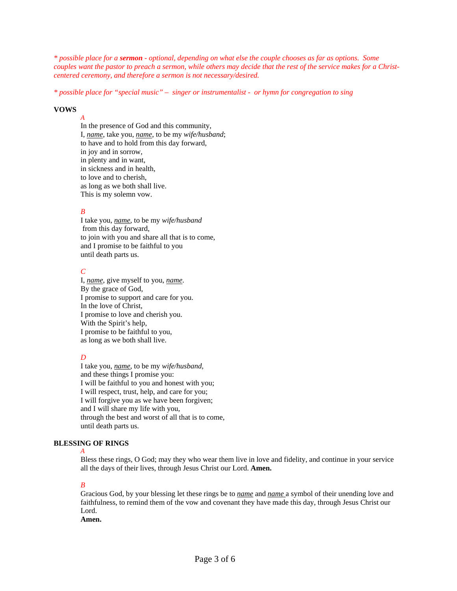*\* possible place for a sermon - optional, depending on what else the couple chooses as far as options. Some couples want the pastor to preach a sermon, while others may decide that the rest of the service makes for a Christcentered ceremony, and therefore a sermon is not necessary/desired.* 

*\* possible place for "special music" – singer or instrumentalist - or hymn for congregation to sing* 

### **VOWS**

*A* 

In the presence of God and this community, I, *name*, take you, *name*, to be my *wife/husband*; to have and to hold from this day forward, in joy and in sorrow, in plenty and in want, in sickness and in health, to love and to cherish, as long as we both shall live. This is my solemn vow.

# *B*

I take you, *name*, to be my *wife/husband*  from this day forward, to join with you and share all that is to come, and I promise to be faithful to you until death parts us.

## *C*

I, *name*, give myself to you, *name*. By the grace of God, I promise to support and care for you. In the love of Christ, I promise to love and cherish you. With the Spirit's help, I promise to be faithful to you, as long as we both shall live.

# *D*

I take you, *name*, to be my *wife/husband,* and these things I promise you: I will be faithful to you and honest with you; I will respect, trust, help, and care for you; I will forgive you as we have been forgiven; and I will share my life with you, through the best and worst of all that is to come, until death parts us.

# **BLESSING OF RINGS**

### *A*

Bless these rings, O God; may they who wear them live in love and fidelity, and continue in your service all the days of their lives, through Jesus Christ our Lord. **Amen.** 

### *B*

Gracious God, by your blessing let these rings be to *name* and *name* a symbol of their unending love and faithfulness, to remind them of the vow and covenant they have made this day, through Jesus Christ our Lord.

**Amen.**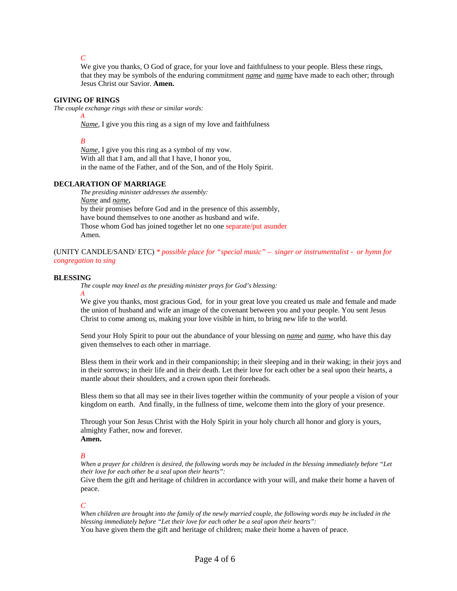# *C*

We give you thanks, O God of grace, for your love and faithfulness to your people. Bless these rings, that they may be symbols of the enduring commitment *name* and *name* have made to each other; through Jesus Christ our Savior. **Amen.**

#### **GIVING OF RINGS**

*The couple exchange rings with these or similar words:* 

*Name,* I give you this ring as a sign of my love and faithfulness

#### *B*

*A* 

*Name*, I give you this ring as a symbol of my vow. With all that I am, and all that I have, I honor you, in the name of the Father, and of the Son, and of the Holy Spirit.

#### **DECLARATION OF MARRIAGE**

*The presiding minister addresses the assembly: Name* and *name*, by their promises before God and in the presence of this assembly, have bound themselves to one another as husband and wife. Those whom God has joined together let no one separate/put asunder Amen.

(UNITY CANDLE/SAND/ ETC) *\* possible place for "special music" – singer or instrumentalist - or hymn for congregation to sing* 

#### **BLESSING**

*A* 

*The couple may kneel as the presiding minister prays for God's blessing:* 

We give you thanks, most gracious God, for in your great love you created us male and female and made the union of husband and wife an image of the covenant between you and your people. You sent Jesus Christ to come among us, making your love visible in him, to bring new life to the world.

Send your Holy Spirit to pour out the abundance of your blessing on *name* and *name*, who have this day given themselves to each other in marriage.

Bless them in their work and in their companionship; in their sleeping and in their waking; in their joys and in their sorrows; in their life and in their death. Let their love for each other be a seal upon their hearts, a mantle about their shoulders, and a crown upon their foreheads.

Bless them so that all may see in their lives together within the community of your people a vision of your kingdom on earth. And finally, in the fullness of time, welcome them into the glory of your presence.

Through your Son Jesus Christ with the Holy Spirit in your holy church all honor and glory is yours, almighty Father, now and forever.

# **Amen.**

## *B*

*When a prayer for children is desired, the following words may be included in the blessing immediately before "Let their love for each other be a seal upon their hearts":* 

Give them the gift and heritage of children in accordance with your will, and make their home a haven of peace.

#### *C*

When children are brought into the family of the newly married couple, the following words may be included in the *blessing immediately before "Let their love for each other be a seal upon their hearts":*  You have given them the gift and heritage of children; make their home a haven of peace.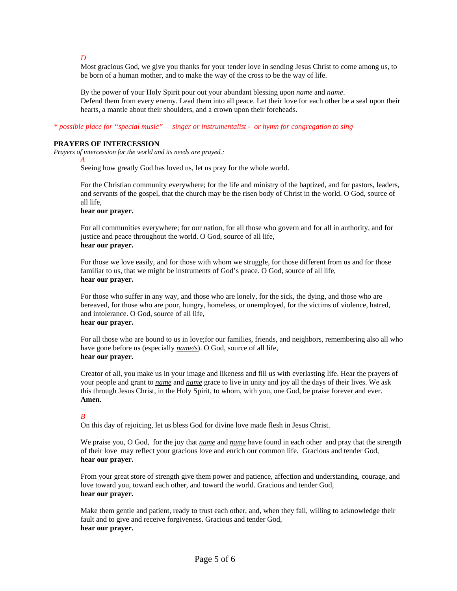*D* 

Most gracious God, we give you thanks for your tender love in sending Jesus Christ to come among us, to be born of a human mother, and to make the way of the cross to be the way of life.

By the power of your Holy Spirit pour out your abundant blessing upon *name* and *name*. Defend them from every enemy. Lead them into all peace. Let their love for each other be a seal upon their hearts, a mantle about their shoulders, and a crown upon their foreheads.

*\* possible place for "special music" – singer or instrumentalist - or hymn for congregation to sing* 

#### **PRAYERS OF INTERCESSION**

*Prayers of intercession for the world and its needs are prayed.:* 

*A* 

Seeing how greatly God has loved us, let us pray for the whole world.

For the Christian community everywhere; for the life and ministry of the baptized, and for pastors, leaders, and servants of the gospel, that the church may be the risen body of Christ in the world. O God, source of all life,

#### **hear our prayer.**

For all communities everywhere; for our nation, for all those who govern and for all in authority, and for justice and peace throughout the world. O God, source of all life, **hear our prayer.** 

For those we love easily, and for those with whom we struggle, for those different from us and for those familiar to us, that we might be instruments of God's peace. O God, source of all life, **hear our prayer.** 

For those who suffer in any way, and those who are lonely, for the sick, the dying, and those who are bereaved, for those who are poor, hungry, homeless, or unemployed, for the victims of violence, hatred, and intolerance. O God, source of all life, **hear our prayer.** 

For all those who are bound to us in love; for our families, friends, and neighbors, remembering also all who have gone before us (especially *name/s*). O God, source of all life, **hear our prayer.** 

Creator of all, you make us in your image and likeness and fill us with everlasting life. Hear the prayers of your people and grant to *name* and *name* grace to live in unity and joy all the days of their lives. We ask this through Jesus Christ, in the Holy Spirit, to whom, with you, one God, be praise forever and ever. **Amen.**

### *B*

On this day of rejoicing, let us bless God for divine love made flesh in Jesus Christ.

We praise you, O God, for the joy that *name* and *name* have found in each other and pray that the strength of their love may reflect your gracious love and enrich our common life. Gracious and tender God, **hear our prayer.**

From your great store of strength give them power and patience, affection and understanding, courage, and love toward you, toward each other, and toward the world. Gracious and tender God, **hear our prayer.**

Make them gentle and patient, ready to trust each other, and, when they fail, willing to acknowledge their fault and to give and receive forgiveness. Gracious and tender God, **hear our prayer.**